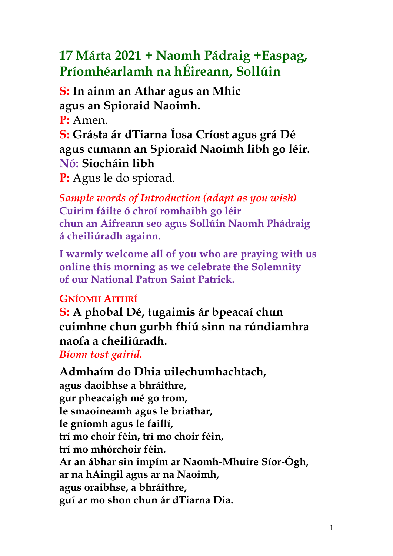# **17 Márta 2021 + Naomh Pádraig +Easpag, Príomhéarlamh na hÉireann, Sollúin**

**S: In ainm an Athar agus an Mhic agus an Spioraid Naoimh.** 

**P:** Amen.

**S: Grásta ár dTiarna Íosa Críost agus grá Dé agus cumann an Spioraid Naoimh libh go léir. Nó: Siocháin libh** 

**P:** Agus le do spiorad.

*Sample words of Introduction (adapt as you wish)*  **Cuirim fáilte ó chroí romhaibh go léir chun an Aifreann seo agus Sollúin Naomh Phádraig á cheiliúradh againn.**

**I warmly welcome all of you who are praying with us online this morning as we celebrate the Solemnity of our National Patron Saint Patrick.**

### **GNÍOMH AITHRÍ**

**S: A phobal Dé, tugaimis ár bpeacaí chun cuimhne chun gurbh fhiú sinn na rúndiamhra naofa a cheiliúradh.**

*Bíonn tost gairid.*

**Admhaím do Dhia uilechumhachtach, agus daoibhse a bhráithre, gur pheacaigh mé go trom, le smaoineamh agus le briathar, le gníomh agus le faillí, trí mo choir féin, trí mo choir féin, trí mo mhórchoir féin. Ar an ábhar sin impím ar Naomh-Mhuire Síor-Ógh, ar na hAingil agus ar na Naoimh, agus oraibhse, a bhráithre, guí ar mo shon chun ár dTiarna Dia.**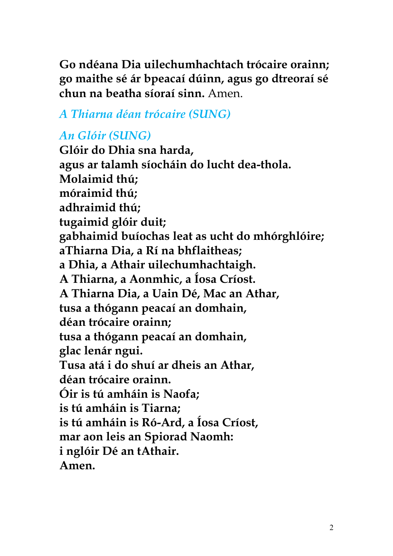**Go ndéana Dia uilechumhachtach trócaire orainn; go maithe sé ár bpeacaí dúinn, agus go dtreoraí sé chun na beatha síoraí sinn.** Amen.

### *A Thiarna déan trócaire (SUNG)*

## *An Glóir (SUNG)*

**Glóir do Dhia sna harda, agus ar talamh síocháin do lucht dea-thola. Molaimid thú; móraimid thú; adhraimid thú; tugaimid glóir duit; gabhaimid buíochas leat as ucht do mhórghlóire; aThiarna Dia, a Rí na bhflaitheas; a Dhia, a Athair uilechumhachtaigh. A Thiarna, a Aonmhic, a Íosa Críost. A Thiarna Dia, a Uain Dé, Mac an Athar, tusa a thógann peacaí an domhain, déan trócaire orainn; tusa a thógann peacaí an domhain, glac lenár ngui. Tusa atá i do shuí ar dheis an Athar, déan trócaire orainn. Óir is tú amháin is Naofa; is tú amháin is Tiarna; is tú amháin is Ró-Ard, a Íosa Críost, mar aon leis an Spiorad Naomh: i nglóir Dé an tAthair. Amen.**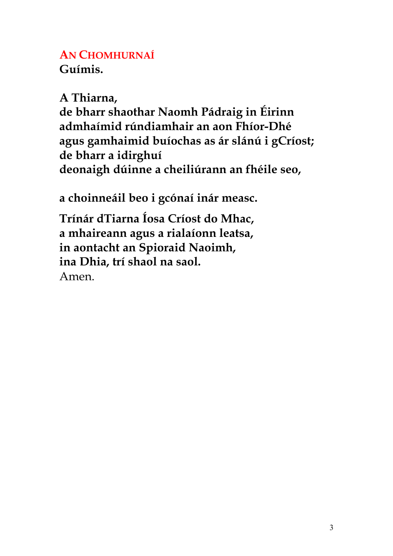### **AN CHOMHURNAÍ Guímis.**

**A Thiarna, de bharr shaothar Naomh Pádraig in Éirinn admhaímid rúndiamhair an aon Fhíor-Dhé agus gamhaimid buíochas as ár slánú i gCríost; de bharr a idirghuí deonaigh dúinne a cheiliúrann an fhéile seo,**  $\dot{U}$ (' (Í Ú Ó 7('(Ó'Ó' **a choinneáil beo i gcónaí inár measc. Trínár dTiarna Íosa Críost do Mhac, a mhaireann agus a rialaíonn leatsa, in aontacht an Spioraid Naoimh,** 

**ina Dhia, trí shaol na saol.**

Amen.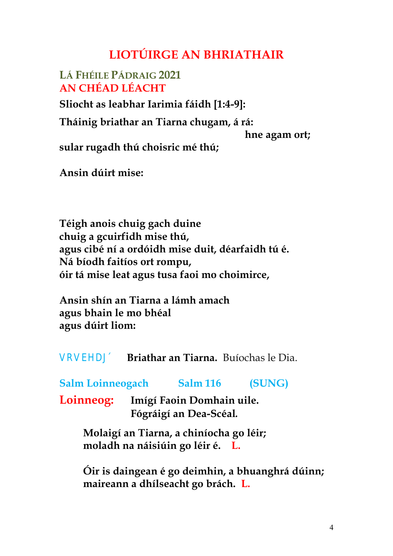## **LIOTÚIRGE AN BHRIATHAIR**

#### **LÁ FHÉILE PÁDRAIG 2021 AN CHÉAD LÉACHT**

#### **Sliocht as leabhar Iarimia fáidh [1:4-9]:**

**Tháinig briathar an Tiarna chugam, á rá: p**  $\check{\phantom{a}}$  (  $\acute{\phantom{a}}$  (  $\acute{\phantom{a}}$  (  $\acute{a}$  ) (  $\acute{a}$  ) hne agam  $\acute{a}$ ort;  $\acute{a}$  (  $\acute{A}$ **sular rugadh thú choisric mé thú; G G**<sup>c</sup> **( ( ( ( ( ( ( ( 0 1 0 ( 0 ( Ansin dúirt mise: b**  $\begin{pmatrix} 1 & 0 & 0 \\ 0 & 0 & 0 \end{pmatrix}$  **o**  $\begin{pmatrix} 1 & 0 & 0 \\ 0 & 0 & 0 \end{pmatrix}$  **o**  $\begin{pmatrix} 1 & 0 & 0 \\ 0 & 0 & 0 \end{pmatrix}$  **o**  $\begin{pmatrix} 1 & 0 & 0 \\ 0 & 0 & 0 \end{pmatrix}$  **o**  $\begin{pmatrix} 1 & 0 & 0 \\ 0 & 0 & 0 \end{pmatrix}$  $(1 \tO')$   $(4 \tA'$   $7 \t(C \tU')$ 

**\$FKG~LUWDQ7LDUQDOLRP´1iKDEDLU¶,VOHDQEKPp· Téigh anois chuig gach duine chuig a gcuirfidh mise thú, agus cibé ní a ordóidh mise duit, déarfaidh tú é. Ná bíodh faitíos ort rompu, óir tá mise leat agus tusa faoi mo choimirce, LVpDQ7LDUQDDODEKUDtRQQµ Ansin shín an Tiarna a lámh amach agus bhain le mo bhéal agus dúirt liom:** 

|  | $\begin{array}{ccccccccccccccccc}\n\bullet & \cdot & \text{i} & \text{7} & \text{(} & \text{(} & \text{(} & \text{i} & \text{(} & \text{(} & \text{A} & \text{)} & \text{)}\n\end{array}$ |  |  |  |
|--|-------------------------------------------------------------------------------------------------------------------------------------------------------------------------------------------|--|--|--|
|  |                                                                                                                                                                                           |  |  |  |
|  |                                                                                                                                                                                           |  |  |  |
|  |                                                                                                                                                                                           |  |  |  |

fl q c q V **YBriathar an Tiarna.** Buíochas le Dia.

**Salm Loinneogach Salm 116 (SUNG)**

**Loinneog: Imígí Faoin Domhain uile. Fógráigí an Dea-Scéal***.*

> **Molaigí an Tiarna, a chiníocha go léir; moladh na náisiúin go léir é. L.**

**Óir is daingean é go deimhin, a bhuanghrá dúinn; maireann a dhílseacht go brách. L.**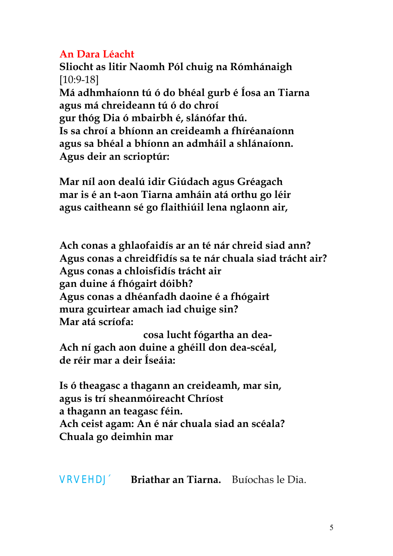#### **An Dara Léacht**

**Sliocht as litir Naomh Pól chuig na Rómhánaigh**  [10:9-18]

**Má adhmhaíonn tú ó do bhéal gurb é Íosa an Tiarna agus má chreideann tú ó do chroí** 

**gur thóg Dia ó mbairbh é, slánófar thú.** 

**Is sa chroí a bhíonn an creideamh a fhíréanaíonn agus sa bhéal a bhíonn an admháil a shlánaíonn.** 

**Agus deir an scrioptúr:**   $\mathbf{c}$   $\mathbf{f}$   $\mathbf{f}$   $\mathbf{f}$   $\mathbf{c}$   $\mathbf{f}$   $\mathbf{f}$   $\mathbf{d}$   $\mathbf{f}$   $\mathbf{f}$   $\mathbf{f}$   $\mathbf{f}$   $\mathbf{f}$   $\mathbf{f}$   $\mathbf{f}$   $\mathbf{f}$   $\mathbf{f}$   $\mathbf{f}$   $\mathbf{f}$   $\mathbf{f}$   $\mathbf{f}$   $\mathbf{f}$   $\mathbf{f}$   $\mathbf{f}$   $\mathbf{$ **Mar níl aon dealú idir Giúdach agus Gréagach mar is é an t-aon Tiarna amháin atá orthu go léir agus caitheann sé go flaithiúil lena nglaonn air,**   $\begin{pmatrix} 0 & 0 \\ 0 & 1 \end{pmatrix}$   $\begin{pmatrix} 0 & 0 \\ 0 & 0 \end{pmatrix}$   $\begin{pmatrix} 0 & 0 \\ 0 & 1 \end{pmatrix}$ 

 $V_1$  ( : ( **Ach conas a ghlaofaidís ar an té nár chreid siad ann? Agus conas a chreidfidís sa te nár chuala siad trácht air? Agus conas a chloisfidís trácht air gan duine á fhógairt dóibh?** 

**Agus conas a dhéanfadh daoine é a fhógairt mura gcuirtear amach iad chuige sin?** 

**Mar atá scríofa:**   $\epsilon$ osa lucht fógar**t**ha an dea- Í **Ach ní gach aon duine a ghéill don dea-scéal, de réir mar a deir Íseáia:**

**T**(r '7(Í ('(Í Ú Ó( (Ó Ú' **Is ó theagasc a thagann an creideamh, mar sin, agus is trí sheanmóireacht Chríost** 

**a thagann an teagasc féin.** 

**Ach ceist agam: An é nár chuala siad an scéala? Chuala go deimhin mar** 

 $\begin{bmatrix} \cdot & \cdot & \cdot \\ \cdot & \cdot & \cdot \end{bmatrix}$  (  $\begin{bmatrix} \cdot & \cdot & \cdot \\ \cdot & \cdot & \cdot \end{bmatrix}$  (  $\begin{bmatrix} \cdot & \cdot & \cdot \\ \cdot & \cdot & \cdot \end{bmatrix}$  (  $\begin{bmatrix} \cdot & \cdot & \cdot & \cdot \\ \cdot & \cdot & \cdot & \cdot \end{bmatrix}$ **CONTRACT SUBJECT (CONTRACT SUBJECT )** 

fl g c g  $\dot{V}$  **V**  $V$  **Briathar an Tiarna.** Buíochas le Dia.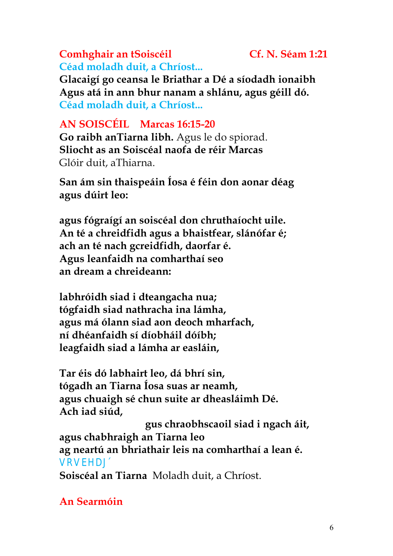**Céad moladh duit, a Chríost... AN SOISCÉIL Marcas 16:15-20 Go raibh anTiarna libh.** Agus le do spiorad. **Sliocht as an Soiscéal naofa de réir Marcas**  Glóir duit, aThiarna. **San ám sin thaispeáin Íosa é féin don aonar déag agus dúirt leo: b c i i i i i c i c i c i c i c i c i c i c i c i c i c i c i c i c i c i c i c i c i c i c i c i c i c i c i c agus fógraígí an soiscéal don chruthaíocht uile. An té a chreidfidh agus a bhaistfear, slánófar é; ach an té nach gcreidfidh, daorfar é. Agus leanfaidh na comharthaí seo an dream a chreideann:**   $\mathbf{f}$  **1**  $\mathbf{0}$  (  $\mathbf{0}$   $\mathbf{0}$   $\mathbf{0}$   $\mathbf{0}$   $\mathbf{0}$   $\mathbf{0}$   $\mathbf{0}$   $\mathbf{0}$   $\mathbf{0}$   $\mathbf{0}$   $\mathbf{0}$   $\mathbf{0}$   $\mathbf{0}$   $\mathbf{0}$   $\mathbf{0}$   $\mathbf{0}$   $\mathbf{0}$   $\mathbf{0}$   $\mathbf{0}$   $\mathbf{0}$   $\mathbf{0}$   $\mathbf{0}$ **labhróidh siad i dteangacha nua; tógfaidh siad nathracha ina lámha, agus má ólann siad aon deoch mharfach, ní dhéanfaidh sí díobháil dóíbh; leagfaidh siad a lámha ar easláin,**   $(AU \tO (70))^2$  (1  $(AU \tO (70))^2$ **Tar éis dó labhairt leo, dá bhrí sin, tógadh an Tiarna Íosa suas ar neamh, agus chuaigh sé chun suite ar dheasláimh Dé. Ach iad siúd, G** (gus chraobhscaoil siad i ngach áit, **agus chabhraigh an Tiarna leo ag neartú an bhriathair leis na comharthaí a lean é.** flgcg VYU[Å" Ł **Soiscéal an Tiarna** Moladh duit, a Chríost.

**Comhghair an tSoiscéil Cf. N. Séam 1:21**

**Glacaigí go ceansa le Briathar a Dé a síodadh ionaibh Agus atá in ann bhur nanam a shlánu, agus géill dó.**

**Céad moladh duit, a Chríost...**

**An Searmóin**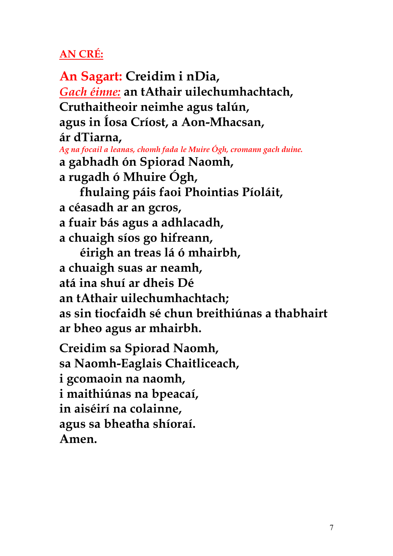## **AN CRÉ:**

**An Sagart: Creidim i nDia,** *Gach éinne:* **an tAthair uilechumhachtach, Cruthaitheoir neimhe agus talún, agus in Íosa Críost, a Aon-Mhacsan, ár dTiarna,** *Ag na focail a leanas, chomh fada le Muire Ógh, cromann gach duine.* **a gabhadh ón Spiorad Naomh, a rugadh ó Mhuire Ógh, DG· fhulaing páis faoi Phointias Píoláit, a céasadh ar an gcros, a fuair bás agus a adhlacadh, a chuaigh síos go hifreann, DG· éirigh an treas lá ó mhairbh, a chuaigh suas ar neamh, atá ina shuí ar dheis Dé an tAthair uilechumhachtach; as sin tiocfaidh sé chun breithiúnas a thabhairt ar bheo agus ar mhairbh. Creidim sa Spiorad Naomh, sa Naomh-Eaglais Chaitliceach, i gcomaoin na naomh, i maithiúnas na bpeacaí, in aiséirí na colainne, agus sa bheatha shíoraí. Amen.**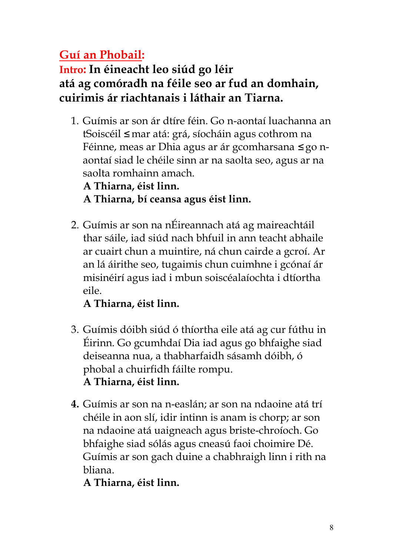## **Guí an Phobail:**

### **Intro: In éineacht leo siúd go léir atá ag comóradh na féile seo ar fud an domhain, cuirimis ár riachtanais i láthair an Tiarna.**

1. Guímis ar son ár dtíre féin. Go n-aontaí luachanna an tSoiscéil *I* mar atá: grá, síocháin agus cothrom na Féinne, meas ar Dhia agus ar ár gcomharsana lgo naontaí siad le chéile sinn ar na saolta seo, agus ar na saolta romhainn amach.

**A Thiarna, éist linn.** 

**A Thiarna, bí ceansa agus éist linn.**

2. Guímis ar son na nÉireannach atá ag maireachtáil thar sáile, iad siúd nach bhfuil in ann teacht abhaile ar cuairt chun a muintire, ná chun cairde a gcroí. Ar an lá áirithe seo, tugaimis chun cuimhne i gcónaí ár misinéirí agus iad i mbun soiscéalaíochta i dtíortha eile.

**A Thiarna, éist linn.** 

- 3. Guímis dóibh siúd ó thíortha eile atá ag cur fúthu in Éirinn. Go gcumhdaí Dia iad agus go bhfaighe siad deiseanna nua, a thabharfaidh sásamh dóibh, ó phobal a chuirfidh fáilte rompu. **A Thiarna, éist linn.**
- **4.** Guímis ar son na n-easlán; ar son na ndaoine atá trí chéile in aon slí, idir intinn is anam is chorp; ar son na ndaoine atá uaigneach agus briste-chroíoch. Go bhfaighe siad sólás agus cneasú faoi choimire Dé. Guímis ar son gach duine a chabhraigh linn i rith na bliana.

**A Thiarna, éist linn.**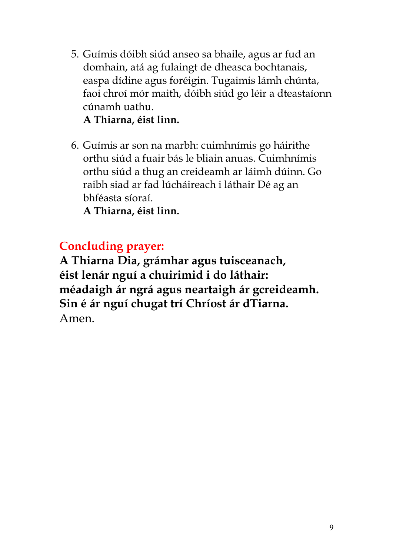5. Guímis dóibh siúd anseo sa bhaile, agus ar fud an domhain, atá ag fulaingt de dheasca bochtanais, easpa dídine agus foréigin. Tugaimis lámh chúnta, faoi chroí mór maith, dóibh siúd go léir a dteastaíonn cúnamh uathu.

#### **A Thiarna, éist linn.**

6. Guímis ar son na marbh: cuimhnímis go háirithe orthu siúd a fuair bás le bliain anuas. Cuimhnímis orthu siúd a thug an creideamh ar láimh dúinn. Go raibh siad ar fad lúcháireach i láthair Dé ag an bhféasta síoraí.

**A Thiarna, éist linn.** 

### **Concluding prayer:**

**A Thiarna Dia, grámhar agus tuisceanach, éist lenár nguí a chuirimid i do láthair: méadaigh ár ngrá agus neartaigh ár gcreideamh. Sin é ár nguí chugat trí Chríost ár dTiarna.**  Amen.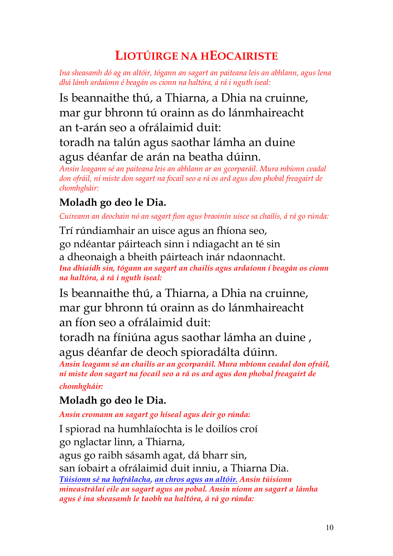## **LIOTÚIRGE NA HEOCAIRISTE**

*Ina sheasamh dó ag an altóir, tógann an sagart an paiteana leis an abhlann, agus lena dhá lámh ardaíonn é beagán os cionn na haltóra, á rá i nguth íseal:*

Is beannaithe thú, a Thiarna, a Dhia na cruinne, mar gur bhronn tú orainn as do lánmhaireacht an t-arán seo a ofrálaimid duit:

toradh na talún agus saothar lámha an duine agus déanfar de arán na beatha dúinn.

*Ansin leagann sé an paiteana leis an abhlann ar an gcorparáil. Mura mbíonn ceadal don ofráil, ní miste don sagart na focail seo a rá os ard agus don phobal freagairt de chomhgháir:*

### **Moladh go deo le Dia.**

*Cuireann an deochain nó an sagart fion agus braoinín uisce sa chailís, á rá go rúnda:*

Trí rúndiamhair an uisce agus an fhíona seo, go ndéantar páirteach sinn i ndiagacht an té sin a dheonaigh a bheith páirteach inár ndaonnacht. *Ina dhiaidh sin, tógann an sagart an chailís agus ardaíonn í beagán os cionn na haltóra, á rá i nguth íseal:*

Is beannaithe thú, a Thiarna, a Dhia na cruinne, mar gur bhronn tú orainn as do lánmhaireacht an fíon seo a ofrálaimid duit:

toradh na fíniúna agus saothar lámha an duine , agus déanfar de deoch spioradálta dúinn.

*Ansin leagann sé an chailís ar an gcorparáil. Mura mbíonn ceadal don ofráil, ní miste don sagart na focail seo a rá os ard agus don phobal freagairt de chomhgháir:*

### **Moladh go deo le Dia.**

*Ansin cromann an sagart go híseal agus deir go rúnda:*

I spiorad na humhlaíochta is le doilíos croí go nglactar linn, a Thiarna, agus go raibh sásamh agat, dá bharr sin, san íobairt a ofrálaimid duit inniu, a Thiarna Dia.

*Túisíonn sé na hofrálacha, an chros agus an altóir. Ansin túisíonn mineastrálaí eile an sagart agus an pobal. Ansin níonn an sagart a lámha agus é ina sheasamh le taobh na haltóra, á rá go rúnda:*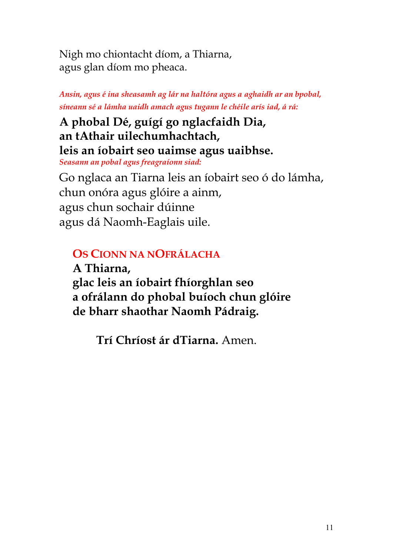Nigh mo chiontacht díom, a Thiarna, agus glan díom mo pheaca.

*Ansin, agus é ina sheasamh ag lár na haltóra agus a aghaidh ar an bpobal, síneann sé a lámha uaidh amach agus tugann le chéile arís iad, á rá:*

## **A phobal Dé, guígí go nglacfaidh Dia, an tAthair uilechumhachtach, leis an íobairt seo uaimse agus uaibhse.**

*Seasann an pobal agus freagraíonn siad:*

Go nglaca an Tiarna leis an íobairt seo ó do lámha, chun onóra agus glóire a ainm, agus chun sochair dúinne agus dá Naomh-Eaglais uile.

## **OS CIONN NA NOFRÁLACHA**

**A Thiarna, glac leis an íobairt fhíorghlan seo a ofrálann do phobal buíoch chun glóire Ó de bharr shaothar Naomh Pádraig.**

**Trí Chríost ár dTiarna.** Amen.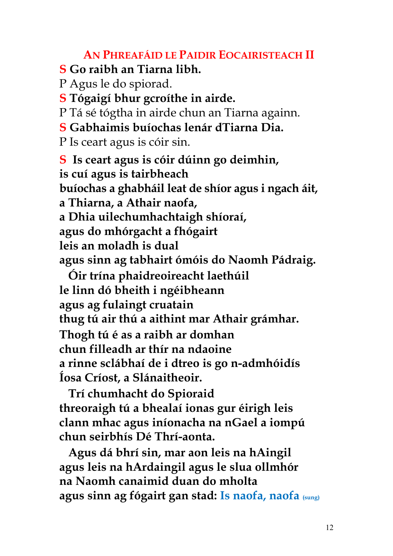**AN PHREAFÁID LE PAIDIR EOCAIRISTEACH II S Go raibh an Tiarna libh.** P Agus le do spiorad. **S Tógaigí bhur gcroíthe in airde.** P Tá sé tógtha in airde chun an Tiarna againn. **S Gabhaimis buíochas lenár dTiarna Dia.** P Is ceart agus is cóir sin. **S Is ceart agus is cóir dúinn go deimhin, is cuí agus is tairbheach buíochas a ghabháil leat de shíor agus i ngach áit, a Thiarna, a Athair naofa, a Dhia uilechumhachtaigh shíoraí, agus do mhórgacht a fhógairt leis an moladh is dual agus sinn ag tabhairt ómóis do Naomh Pádraig. Óir trína phaidreoireacht laethúil le linn dó bheith i ngéibheann agus ag fulaingt cruatain thug tú air thú a aithint mar Athair grámhar.**

**Thogh tú é as a raibh ar domhan chun filleadh ar thír na ndaoine a rinne sclábhaí de i dtreo is go n-admhóidís Íosa Críost, a Slánaitheoir.**

 **Trí chumhacht do Spioraid threoraigh tú a bhealaí ionas gur éirigh leis clann mhac agus iníonacha na nGael a iompú chun seirbhís Dé Thrí-aonta.**

 **Agus dá bhrí sin, mar aon leis na hAingil agus leis na hArdaingil agus le slua ollmhór na Naomh canaimid duan do mholta agus sinn ag fógairt gan stad: Is naofa, naofa (sung)**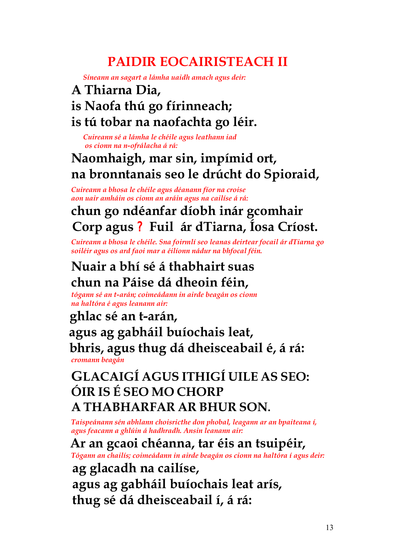# **PAIDIR EOCAIRISTEACH II**

*Síneann an sagart a lámha uaidh amach agus deir:*

### **A Thiarna Dia,**

### **is Naofa thú go fírinneach;**

### **is tú tobar na naofachta go léir.**

*Cuireann sé a lámha le chéile agus leathann iad os cionn na n-ofrálacha á rá:*

## **Naomhaigh, mar sin, impímid ort, na bronntanais seo le drúcht do Spioraid,**

*Cuireann a bhosa le chéile agus déanann fíor na croise aon uair amháin os cionn an aráin agus na cailíse á rá:*

## **chun go ndéanfar díobh inár gcomhair Corp agus** ?**Fuil ár dTiarna, Íosa Críost.**

*Cuireann a bhosa le chéile. Sna foirmlí seo leanas deirtear focail ár dTiarna go soiléir agus os ard faoi mar a éilíonn nádur na bhfocal féin.*

## **Nuair a bhí sé á thabhairt suas chun na Páise dá dheoin féin,**

*tógann sé an t-arán; coimeádann in airde beagán os cionn na haltóra é agus leanann air:*

### **ghlac sé an t-arán,**

### **agus ag gabháil buíochais leat, bhris, agus thug dá dheisceabail é, á rá:** *cromann beagán*

## **GLACAIGÍ AGUS ITHIGÍ UILE AS SEO: ÓIR IS É SEO MO CHORP A THABHARFAR AR BHUR SON.**

*Taispeánann sén abhlann choisricthe don phobal, leagann ar an bpaiteana í, agus feacann a ghlúin á hadhradh. Ansin leanann air:*

### **Ar an gcaoi chéanna, tar éis an tsuipéir,**

*Tógann an chailís; coimeádann in airde beagán os cionn na haltóra í agus deir:*

 **ag glacadh na cailíse,** 

 **agus ag gabháil buíochais leat arís,** 

 **thug sé dá dheisceabail í, á rá:**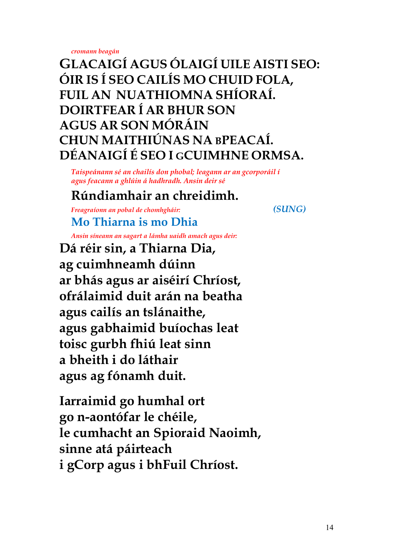*cromann beagán*

**GLACAIGÍ AGUS ÓLAIGÍ UILE AISTI SEO: ÓIR IS Í SEO CAILÍS MO CHUID FOLA, FUIL AN NUATHIOMNA SHÍORAÍ. DOIRTFEAR Í AR BHUR SON AGUS AR SON MÓRÁIN CHUN MAITHIÚNAS NA BPEACAÍ. DÉANAIGÍ É SEO I GCUIMHNE ORMSA.**

*Taispeánann sé an chailís don phobal; leagann ar an gcorporáil í agus feacann a ghlúin á hadhradh. Ansin deir sé*

## **Rúndiamhair an chreidimh.**

*Freagraíonn an pobal de chomhgháir: (SUNG)*

**Mo Thiarna is mo Dhia** 

*Ansin síneann an sagart a lámha uaidh amach agus deir:*

**Dá réir sin, a Thiarna Dia, ag cuimhneamh dúinn ar bhás agus ar aiséirí Chríost, ofrálaimid duit arán na beatha agus cailís an tslánaithe, agus gabhaimid buíochas leat toisc gurbh fhiú leat sinn a bheith i do láthair agus ag fónamh duit.**

**Iarraimid go humhal ort go n-aontófar le chéile, le cumhacht an Spioraid Naoimh, sinne atá páirteach i gCorp agus i bhFuil Chríost.**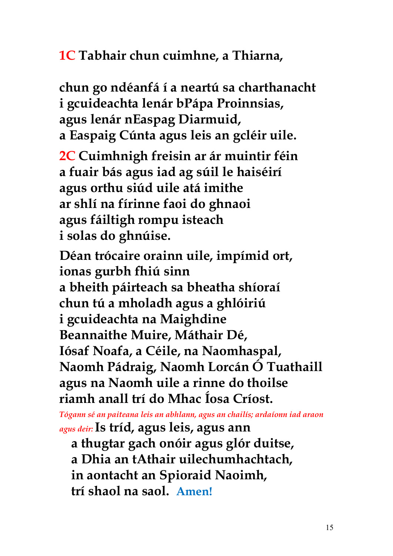**1C Tabhair chun cuimhne, a Thiarna,**   $\dot{O}$  a  $\dot{O}$  (1  $\dot{O}$  (1  $\dot{O}$ ) (1  $\dot{O}$ ) **chun go ndéanfá í a neartú sa charthanacht i gcuideachta lenár bPápa Proinnsias, agus lenár nEaspag Diarmuid, a Easpaig Cúnta agus leis an gcléir uile. 2C Cuimhnigh freisin ar ár muintir féin a fuair bás agus iad ag súil le haiséirí agus orthu siúd uile atá imithe ar shlí na fírinne faoi do ghnaoi agus fáiltigh rompu isteach i solas do ghnúise. Déan trócaire orainn uile, impímid ort, ionas gurbh fhiú sinn a bheith páirteach sa bheatha shíoraí chun tú a mholadh agus a ghlóiriú i gcuideachta na Maighdine Beannaithe Muire, Máthair Dé, Iósaf Noafa, a Céile, na Naomhaspal, Naomh Pádraig, Naomh Lorcán Ó Tuathaill agus na Naomh uile a rinne do thoilse riamh anall trí do Mhac Íosa Críost.** 

*Tógann sé an paiteana leis an abhlann, agus an chailís; ardaíonn iad araon agus deir:***Is tríd, agus leis, agus ann**

**a thugtar gach onóir agus glór duitse, a Dhia an tAthair uilechumhachtach, in aontacht an Spioraid Naoimh, trí shaol na saol. Amen!**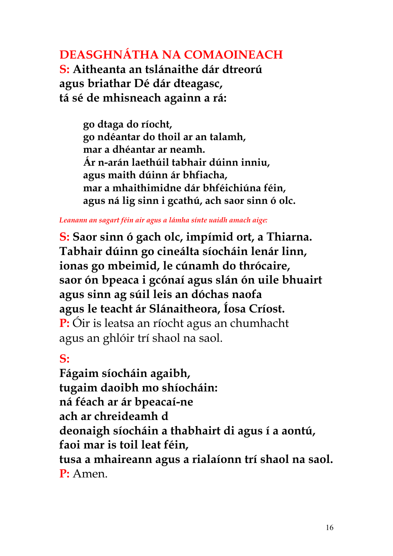### **DEASGHNÁTHA NA COMAOINEACH**

**S: Aitheanta an tslánaithe dár dtreorú agus briathar Dé dár dteagasc, tá sé de mhisneach againn a rá:** 

**F**  $\begin{pmatrix} 1 & 0 \\ 0 & 0 \end{pmatrix}$  **C**  $\begin{pmatrix} 1 & 0 \\ 0 & 0 \end{pmatrix}$  **C**  $\begin{pmatrix} 0 & 0 \\ 0 & 0 \end{pmatrix}$  **C**  $\begin{pmatrix} 0 & 0 \\ 0 & 0 \end{pmatrix}$ **go dtaga do ríocht, go ndéantar do thoil ar an talamh, mar a dhéantar ar neamh. Ár n-arán laethúil tabhair dúinn inniu, agus maith dúinn ár bhfiacha, mar a mhaithimidne dár bhféichiúna féin, agus ná lig sinn i gcathú, ach saor sinn ó olc.**

*Leanann an sagart féin air agus a lámha sínte uaidh amach aige:*

**S: Saor sinn ó gach olc, impímid ort, a Thiarna. Tabhair dúinn go cineálta síocháin lenár linn, ionas go mbeimid, le cúnamh do thrócaire, saor ón bpeaca i gcónaí agus slán ón uile bhuairt agus sinn ag súil leis an dóchas naofa agus le teacht ár Slánaitheora, Íosa Críost. P:** Óir is leatsa an ríocht agus an chumhacht agus an ghlóir trí shaol na saol.

**S: T** ( **r**  $\left( \begin{array}{ccc} 0 & \cdots & \cdots & \cdots \\ 0 & 0 & \cdots & \cdots \end{array} \right)$  (  $\left[ \begin{array}{ccc} 0 & \cdots & \cdots & \cdots \\ 0 & 0 & \cdots & \cdots \end{array} \right]$ **Fágaim síocháin agaibh, tugaim daoibh mo shíocháin: ná féach ar ár bpeacaí-ne ach ar chreideamh d a**  $\check{\phantom{a}}$  **d**  $\check{\phantom{a}}$  **U**M( **deonaigh síocháin a thabhairt di agus í a aontú, faoi mar is toil leat féin, tusa a mhaireann agus a rialaíonn trí shaol na saol. P:** Amen.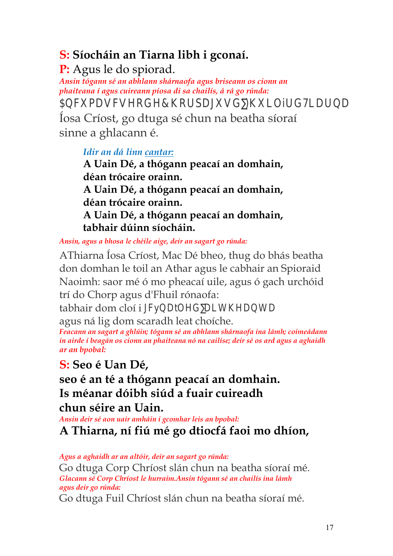# **S: Síocháin an Tiarna libh i gconaí.**

**P:** Agus le do spiorad.

*Ansin tógann sé an abhlann shárnaofa agus briseann os cionn an phaiteana í agus cuireann píosa di sa chailís, á rá go rúnda:* 5b Wia Ug Wg Yc XY 7 \c fd U [ig Íosa Críost, go dtuga sé chun na beatha síoraí

sinne a ghlacann é.

*Idir an dá linn cantar:*

**A Uain Dé, a thógann peacaí an domhain, déan trócaire orainn. A Uain Dé, a thógann peacaí an domhain, déan trócaire orainn. A Uain Dé, a thógann peacaí an domhain, tabhair dúinn síocháin.**

*Ansin, agus a bhosa le chéile aige, deir an sagart go rúnda:*

AThiarna Íosa Críost, Mac Dé bheo, thug do bhás beatha don domhan le toil an Athar agus le cabhair an Spioraid Naoimh: saor mé ó mo pheacaí uile, agus ó gach urchóid trí do Chorp agus d'Fhuil rónaofa:

tabhair dom cloí i [ WCE U  $\ddagger$  ` Y ` X Ñ U ] h \ Y U b h U agus ná lig dom scaradh leat choíche.

*Feacann an sagart a ghlúin; tógann sé an abhlann shárnaofa ina lámh; coimeádann in airde í beagán os cionn an phaiteana nó na cailíse; deir sé os ard agus a aghaidh ar an bpobal:*

**S: Seo é Uan Dé,** 

**seo é an té a thógann peacaí an domhain. Is méanar dóibh siúd a fuair cuireadh chun séire an Uain.** 

*Ansin deir sé aon uair amháin i gcomhar leis an bpobal:*

**A Thiarna, ní fiú mé go dtiocfá faoi mo dhíon,**   $\check{I}$  (  $\hat{A}$   $\check{U}$  (  $\check{I}$   $\check{U}$  (  $\check{I}$   $\check{I}$   $\check{I}$   $\check{I}$   $\check{I}$   $\check{I}$   $\check{I}$   $\check{I}$   $\check{I}$   $\check{I}$   $\check{I}$   $\check{I}$   $\check{I}$   $\check{I}$   $\check{I}$   $\check{I}$   $\check{I}$   $\check{I}$   $\check{I}$   $\check{I}$   $\check{I}$   $\check{I}$ 

*Agus a aghaidh ar an altóir, deir an sagart go rúnda:*

Go dtuga Corp Chríost slán chun na beatha síoraí mé. *Glacann sé Corp Chríost le hurraim.Ansin tógann sé an chailís ina lámh agus deir go rúnda:*

Go dtuga Fuil Chríost slán chun na beatha síoraí mé.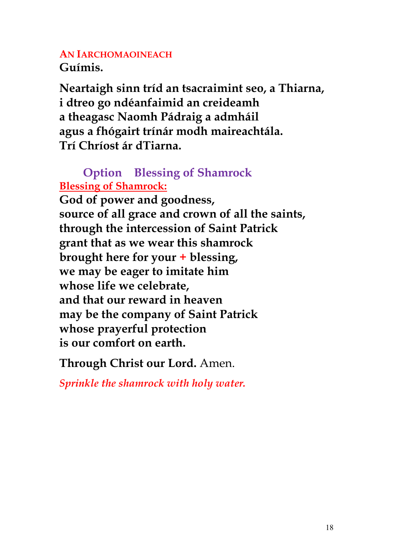#### **AN IARCHOMAOINEACH Guímis.**

**Neartaigh sinn tríd an tsacraimint seo, a Thiarna, i dtreo go ndéanfaimid an creideamh a theagasc Naomh Pádraig a admháil agus a fhógairt trínár modh maireachtála. Trí Chríost ár dTiarna.**

### **Option Blessing of Shamrock Blessing of Shamrock:**

**God of power and goodness, source of all grace and crown of all the saints, through the intercession of Saint Patrick grant that as we wear this shamrock brought here for your + blessing, we may be eager to imitate him whose life we celebrate, and that our reward in heaven may be the company of Saint Patrick whose prayerful protection is our comfort on earth.**

**Through Christ our Lord.** Amen.

*Sprinkle the shamrock with holy water.*